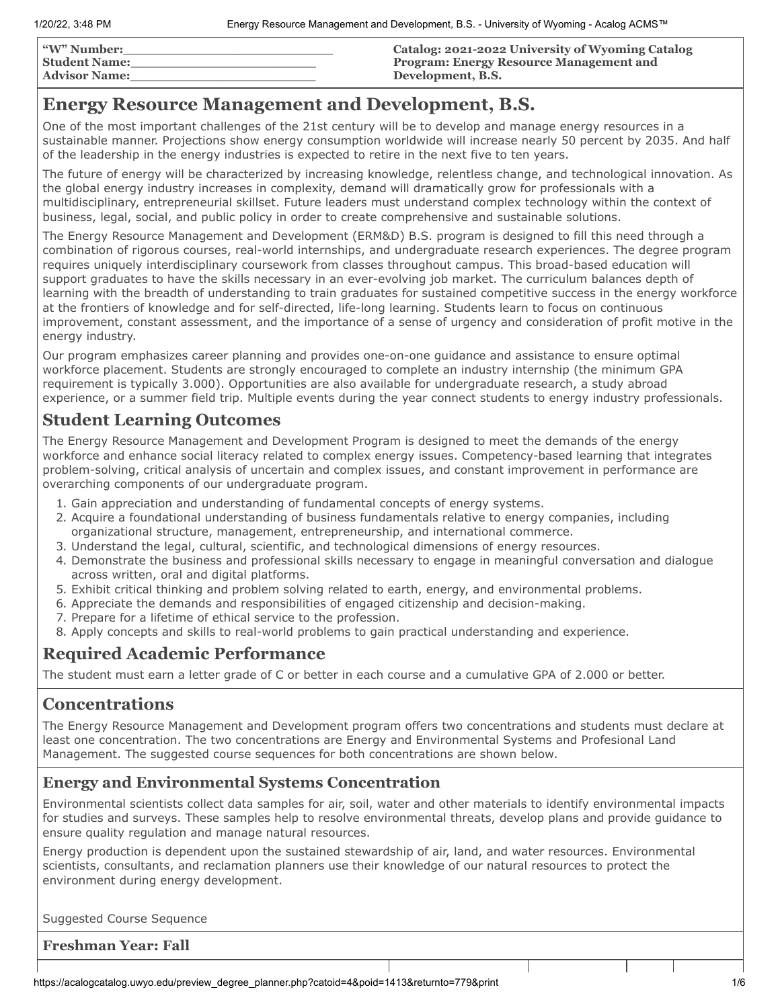| <b><i>"W"</i> Number:</b> | Catalog: 2021-2022 University of Wyoming Catalog |
|---------------------------|--------------------------------------------------|
| <b>Student Name:</b>      | <b>Program: Energy Resource Management and</b>   |
| <b>Advisor Name:</b>      | Development, B.S.                                |

# **Energy Resource Management and Development, B.S.**

One of the most important challenges of the 21st century will be to develop and manage energy resources in a sustainable manner. Projections show energy consumption worldwide will increase nearly 50 percent by 2035. And half of the leadership in the energy industries is expected to retire in the next five to ten years.

The future of energy will be characterized by increasing knowledge, relentless change, and technological innovation. As the global energy industry increases in complexity, demand will dramatically grow for professionals with a multidisciplinary, entrepreneurial skillset. Future leaders must understand complex technology within the context of business, legal, social, and public policy in order to create comprehensive and sustainable solutions.

The Energy Resource Management and Development (ERM&D) B.S. program is designed to fill this need through a combination of rigorous courses, real-world internships, and undergraduate research experiences. The degree program requires uniquely interdisciplinary coursework from classes throughout campus. This broad-based education will support graduates to have the skills necessary in an ever-evolving job market. The curriculum balances depth of learning with the breadth of understanding to train graduates for sustained competitive success in the energy workforce at the frontiers of knowledge and for self-directed, life-long learning. Students learn to focus on continuous improvement, constant assessment, and the importance of a sense of urgency and consideration of profit motive in the energy industry.

Our program emphasizes career planning and provides one-on-one guidance and assistance to ensure optimal workforce placement. Students are strongly encouraged to complete an industry internship (the minimum GPA requirement is typically 3.000). Opportunities are also available for undergraduate research, a study abroad experience, or a summer field trip. Multiple events during the year connect students to energy industry professionals.

## **Student Learning Outcomes**

The Energy Resource Management and Development Program is designed to meet the demands of the energy workforce and enhance social literacy related to complex energy issues. Competency-based learning that integrates problem-solving, critical analysis of uncertain and complex issues, and constant improvement in performance are overarching components of our undergraduate program.

- 1. Gain appreciation and understanding of fundamental concepts of energy systems.
- 2. Acquire a foundational understanding of business fundamentals relative to energy companies, including organizational structure, management, entrepreneurship, and international commerce.
- 3. Understand the legal, cultural, scientific, and technological dimensions of energy resources.
- 4. Demonstrate the business and professional skills necessary to engage in meaningful conversation and dialogue across written, oral and digital platforms.
- 5. Exhibit critical thinking and problem solving related to earth, energy, and environmental problems.
- 6. Appreciate the demands and responsibilities of engaged citizenship and decision-making.
- 7. Prepare for a lifetime of ethical service to the profession.
- 8. Apply concepts and skills to real-world problems to gain practical understanding and experience.

## **Required Academic Performance**

The student must earn a letter grade of C or better in each course and a cumulative GPA of 2.000 or better.

# **Concentrations**

The Energy Resource Management and Development program offers two concentrations and students must declare at least one concentration. The two concentrations are Energy and Environmental Systems and Profesional Land Management. The suggested course sequences for both concentrations are shown below.

## **Energy and Environmental Systems Concentration**

Environmental scientists collect data samples for air, soil, water and other materials to identify environmental impacts for studies and surveys. These samples help to resolve environmental threats, develop plans and provide guidance to ensure quality regulation and manage natural resources.

Energy production is dependent upon the sustained stewardship of air, land, and water resources. Environmental scientists, consultants, and reclamation planners use their knowledge of our natural resources to protect the environment during energy development.

Suggested Course Sequence

**Freshman Year: Fall**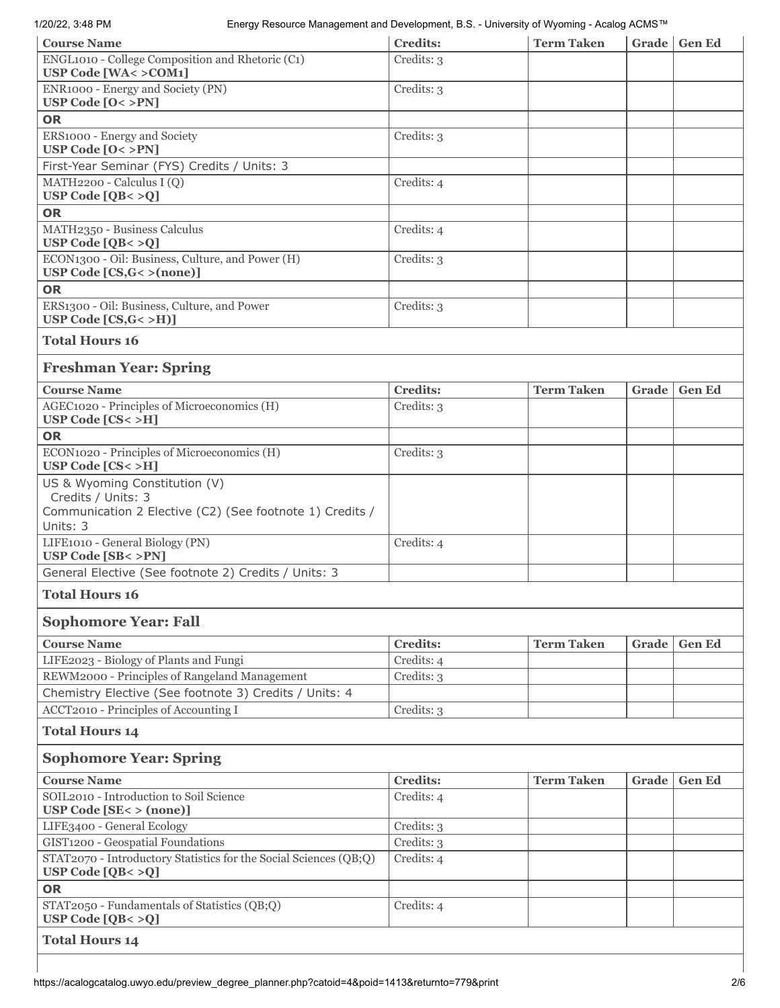#### 1/20/22, 3:48 PM Energy Resource Management and Development, B.S. - University of Wyoming - Acalog ACMS™

| <b>Course Name</b>                                                                                              | <b>Credits:</b> | <b>Term Taken</b> |       | Grade   Gen Ed |  |
|-----------------------------------------------------------------------------------------------------------------|-----------------|-------------------|-------|----------------|--|
| ENGL1010 - College Composition and Rhetoric (C1)<br><b>USP Code [WA&lt; &gt; COM1]</b>                          | Credits: 3      |                   |       |                |  |
| ENR1000 - Energy and Society (PN)<br>USP Code $[0 < >PN]$                                                       | Credits: 3      |                   |       |                |  |
| <b>OR</b>                                                                                                       |                 |                   |       |                |  |
| ERS1000 - Energy and Society<br>USP Code $[0 < >PN]$                                                            | Credits: 3      |                   |       |                |  |
| First-Year Seminar (FYS) Credits / Units: 3                                                                     |                 |                   |       |                |  |
| MATH2200 - Calculus I (Q)<br>USP Code $[QB < >Q]$                                                               | Credits: 4      |                   |       |                |  |
| <b>OR</b>                                                                                                       |                 |                   |       |                |  |
| MATH2350 - Business Calculus<br>USP Code $[QB < >Q]$                                                            | Credits: 4      |                   |       |                |  |
| ECON1300 - Oil: Business, Culture, and Power (H)<br>USP Code $[CS,G<>(none)]$                                   | Credits: 3      |                   |       |                |  |
| <b>OR</b>                                                                                                       |                 |                   |       |                |  |
| ERS1300 - Oil: Business, Culture, and Power<br>USP Code $[CS,G<>H]$                                             | Credits: 3      |                   |       |                |  |
| <b>Total Hours 16</b>                                                                                           |                 |                   |       |                |  |
| <b>Freshman Year: Spring</b>                                                                                    |                 |                   |       |                |  |
| <b>Course Name</b>                                                                                              | <b>Credits:</b> | <b>Term Taken</b> | Grade | <b>Gen Ed</b>  |  |
| AGEC1020 - Principles of Microeconomics (H)<br>USP Code $[CS < >H]$                                             | Credits: 3      |                   |       |                |  |
| <b>OR</b>                                                                                                       |                 |                   |       |                |  |
| ECON1020 - Principles of Microeconomics (H)<br>USP Code [CS< >H]                                                | Credits: 3      |                   |       |                |  |
| US & Wyoming Constitution (V)<br>Credits / Units: 3<br>Communication 2 Elective (C2) (See footnote 1) Credits / |                 |                   |       |                |  |
| Units: 3                                                                                                        |                 |                   |       |                |  |
| LIFE1010 - General Biology (PN)<br>USP Code [SB< >PN]                                                           | Credits: 4      |                   |       |                |  |
| General Elective (See footnote 2) Credits / Units: 3                                                            |                 |                   |       |                |  |
| <b>Total Hours 16</b>                                                                                           |                 |                   |       |                |  |
| <b>Sophomore Year: Fall</b>                                                                                     |                 |                   |       |                |  |
| <b>Course Name</b>                                                                                              | <b>Credits:</b> | <b>Term Taken</b> | Grade | <b>Gen Ed</b>  |  |
| LIFE2023 - Biology of Plants and Fungi                                                                          | Credits: 4      |                   |       |                |  |
| REWM2000 - Principles of Rangeland Management                                                                   | Credits: 3      |                   |       |                |  |
| Chemistry Elective (See footnote 3) Credits / Units: 4                                                          |                 |                   |       |                |  |
| ACCT2010 - Principles of Accounting I                                                                           | Credits: 3      |                   |       |                |  |
| <b>Total Hours 14</b>                                                                                           |                 |                   |       |                |  |
| <b>Sophomore Year: Spring</b>                                                                                   |                 |                   |       |                |  |
| <b>Course Name</b>                                                                                              | <b>Credits:</b> | <b>Term Taken</b> | Grade | <b>Gen Ed</b>  |  |
| SOIL2010 - Introduction to Soil Science<br><b>USP Code [SE&lt; &gt; (none)]</b>                                 | Credits: 4      |                   |       |                |  |
| LIFE3400 - General Ecology                                                                                      | Credits: 3      |                   |       |                |  |
| GIST1200 - Geospatial Foundations                                                                               | Credits: 3      |                   |       |                |  |
| STAT2070 - Introductory Statistics for the Social Sciences (QB;Q)<br>USP Code $[QB < >Q]$                       | Credits: 4      |                   |       |                |  |
| <b>OR</b>                                                                                                       |                 |                   |       |                |  |
| STAT2050 - Fundamentals of Statistics (QB;Q)<br>USP Code $[QB < >Q]$                                            | Credits: 4      |                   |       |                |  |
| <b>Total Hours 14</b>                                                                                           |                 |                   |       |                |  |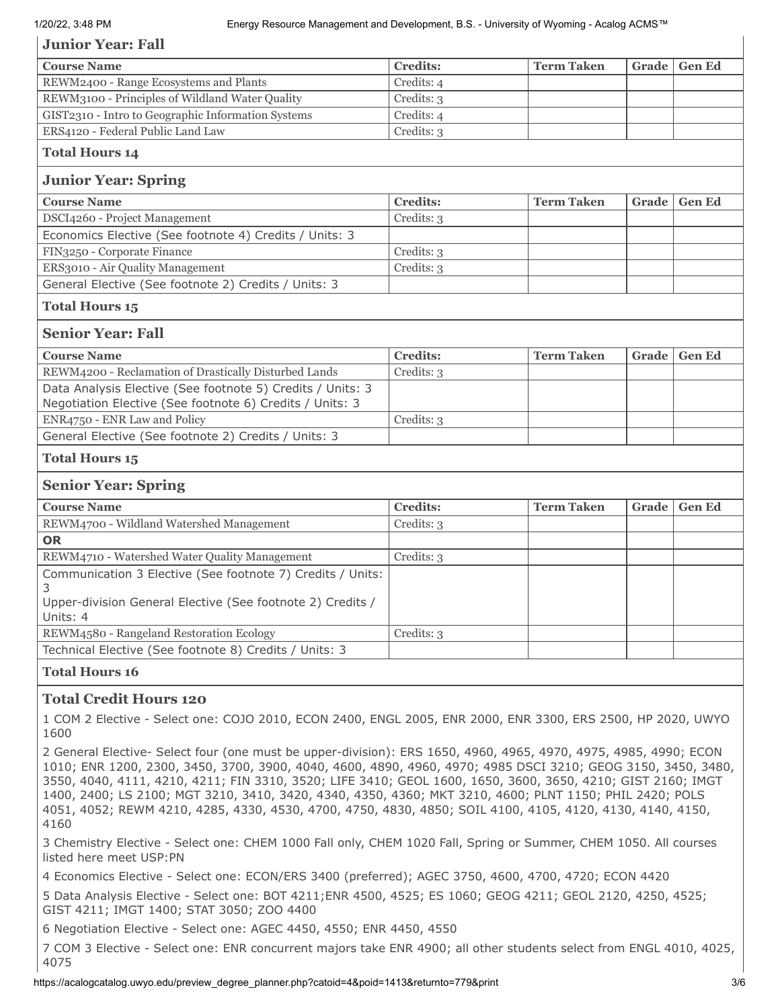### **Junior Year: Fall**

| Credits: 4<br>Credits: 3                                   |                   |       |               |
|------------------------------------------------------------|-------------------|-------|---------------|
|                                                            |                   |       |               |
|                                                            |                   |       |               |
| Credits: 4                                                 |                   |       |               |
| Credits: 3                                                 |                   |       |               |
|                                                            |                   |       |               |
|                                                            |                   |       |               |
| <b>Credits:</b>                                            | <b>Term Taken</b> | Grade | <b>Gen Ed</b> |
| Credits: 3                                                 |                   |       |               |
|                                                            |                   |       |               |
| Credits: 3                                                 |                   |       |               |
| Credits: 3                                                 |                   |       |               |
|                                                            |                   |       |               |
|                                                            |                   |       |               |
|                                                            |                   |       |               |
| <b>Credits:</b>                                            | <b>Term Taken</b> | Grade | <b>Gen Ed</b> |
| Credits: 3                                                 |                   |       |               |
|                                                            |                   |       |               |
| Credits: 3                                                 |                   |       |               |
|                                                            |                   |       |               |
|                                                            |                   |       |               |
|                                                            |                   |       |               |
| <b>Credits:</b>                                            | <b>Term Taken</b> | Grade | <b>Gen Ed</b> |
| Credits: 3                                                 |                   |       |               |
|                                                            |                   |       |               |
| Credits: 3                                                 |                   |       |               |
|                                                            |                   |       |               |
|                                                            |                   |       |               |
| Credits: 3                                                 |                   |       |               |
|                                                            |                   |       |               |
| Communication 3 Elective (See footnote 7) Credits / Units: |                   |       |               |

### **Total Credit Hours 120**

1 COM 2 Elective - Select one: COJO 2010, ECON 2400, ENGL 2005, ENR 2000, ENR 3300, ERS 2500, HP 2020, UWYO 1600

2 General Elective- Select four (one must be upper-division): ERS 1650, 4960, 4965, 4970, 4975, 4985, 4990; ECON 1010; ENR 1200, 2300, 3450, 3700, 3900, 4040, 4600, 4890, 4960, 4970; 4985 DSCI 3210; GEOG 3150, 3450, 3480, 3550, 4040, 4111, 4210, 4211; FIN 3310, 3520; LIFE 3410; GEOL 1600, 1650, 3600, 3650, 4210; GIST 2160; IMGT 1400, 2400; LS 2100; MGT 3210, 3410, 3420, 4340, 4350, 4360; MKT 3210, 4600; PLNT 1150; PHIL 2420; POLS 4051, 4052; REWM 4210, 4285, 4330, 4530, 4700, 4750, 4830, 4850; SOIL 4100, 4105, 4120, 4130, 4140, 4150, 4160

3 Chemistry Elective - Select one: CHEM 1000 Fall only, CHEM 1020 Fall, Spring or Summer, CHEM 1050. All courses listed here meet USP:PN

4 Economics Elective - Select one: ECON/ERS 3400 (preferred); AGEC 3750, 4600, 4700, 4720; ECON 4420

5 Data Analysis Elective - Select one: BOT 4211;ENR 4500, 4525; ES 1060; GEOG 4211; GEOL 2120, 4250, 4525; GIST 4211; IMGT 1400; STAT 3050; ZOO 4400

6 Negotiation Elective - Select one: AGEC 4450, 4550; ENR 4450, 4550

7 COM 3 Elective - Select one: ENR concurrent majors take ENR 4900; all other students select from ENGL 4010, 4025, 4075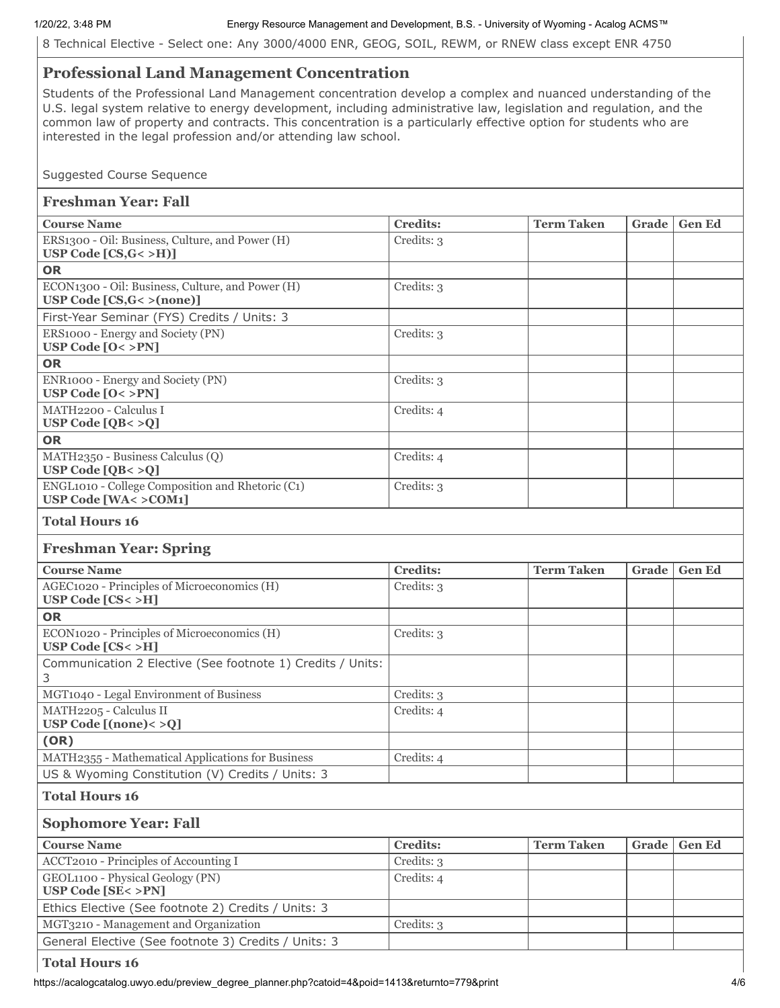#### 1/20/22, 3:48 PM Energy Resource Management and Development, B.S. - University of Wyoming - Acalog ACMS™

8 Technical Elective - Select one: Any 3000/4000 ENR, GEOG, SOIL, REWM, or RNEW class except ENR 4750

## **Professional Land Management Concentration**

Students of the Professional Land Management concentration develop a complex and nuanced understanding of the U.S. legal system relative to energy development, including administrative law, legislation and regulation, and the common law of property and contracts. This concentration is a particularly effective option for students who are interested in the legal profession and/or attending law school.

Suggested Course Sequence

## **Freshman Year: Fall**

| <b>Course Name</b>                                                                     | <b>Credits:</b> | <b>Term Taken</b> | Grade | <b>Gen Ed</b> |  |
|----------------------------------------------------------------------------------------|-----------------|-------------------|-------|---------------|--|
| ERS1300 - Oil: Business, Culture, and Power (H)<br>USP Code $[CS,G<>H]$                | Credits: 3      |                   |       |               |  |
| <b>OR</b>                                                                              |                 |                   |       |               |  |
| ECON1300 - Oil: Business, Culture, and Power (H)<br>USP Code $[CS, G \lt \gt (none)]$  | Credits: 3      |                   |       |               |  |
| First-Year Seminar (FYS) Credits / Units: 3                                            |                 |                   |       |               |  |
| ERS1000 - Energy and Society (PN)<br>USP Code $[0 < >PN]$                              | Credits: 3      |                   |       |               |  |
| <b>OR</b>                                                                              |                 |                   |       |               |  |
| ENR1000 - Energy and Society (PN)<br>USP Code $[0 < >PN]$                              | Credits: 3      |                   |       |               |  |
| MATH2200 - Calculus I<br>USP Code $[QB < >Q]$                                          | Credits: 4      |                   |       |               |  |
| <b>OR</b>                                                                              |                 |                   |       |               |  |
| MATH2350 - Business Calculus (Q)<br>USP Code $[QB < >Q]$                               | Credits: 4      |                   |       |               |  |
| ENGL1010 - College Composition and Rhetoric (C1)<br><b>USP Code [WA&lt; &gt; COM1]</b> | Credits: 3      |                   |       |               |  |
| <b>Total Hours 16</b>                                                                  |                 |                   |       |               |  |
| <b>Freshman Year: Spring</b>                                                           |                 |                   |       |               |  |
| <b>Course Name</b>                                                                     | <b>Credits:</b> | <b>Term Taken</b> | Grade | <b>Gen Ed</b> |  |
| AGEC1020 - Principles of Microeconomics (H)<br>USP Code [CS< >H]                       | Credits: 3      |                   |       |               |  |
| <b>OR</b>                                                                              |                 |                   |       |               |  |
| ECON1020 - Principles of Microeconomics (H)<br>USP Code $[CS < > H]$                   | Credits: 3      |                   |       |               |  |
| Communication 2 Elective (See footnote 1) Credits / Units:<br>3                        |                 |                   |       |               |  |
| MGT1040 - Legal Environment of Business                                                | Credits: 3      |                   |       |               |  |
| MATH2205 - Calculus II<br>USP Code $[(\text{none}) < >Q]$                              | Credits: 4      |                   |       |               |  |
| (OR)                                                                                   |                 |                   |       |               |  |
| MATH2355 - Mathematical Applications for Business                                      | Credits: 4      |                   |       |               |  |
| US & Wyoming Constitution (V) Credits / Units: 3                                       |                 |                   |       |               |  |
| <b>Total Hours 16</b>                                                                  |                 |                   |       |               |  |
| <b>Sophomore Year: Fall</b>                                                            |                 |                   |       |               |  |
| <b>Course Name</b>                                                                     | <b>Credits:</b> | <b>Term Taken</b> | Grade | <b>Gen Ed</b> |  |
| ACCT2010 - Principles of Accounting I                                                  | Credits: 3      |                   |       |               |  |
| GEOL1100 - Physical Geology (PN)<br><b>USP Code [SE&lt; &gt;PN]</b>                    | Credits: 4      |                   |       |               |  |
| Ethics Elective (See footnote 2) Credits / Units: 3                                    |                 |                   |       |               |  |
| MGT3210 - Management and Organization                                                  | Credits: 3      |                   |       |               |  |
| General Elective (See footnote 3) Credits / Units: 3                                   |                 |                   |       |               |  |

**Total Hours 16**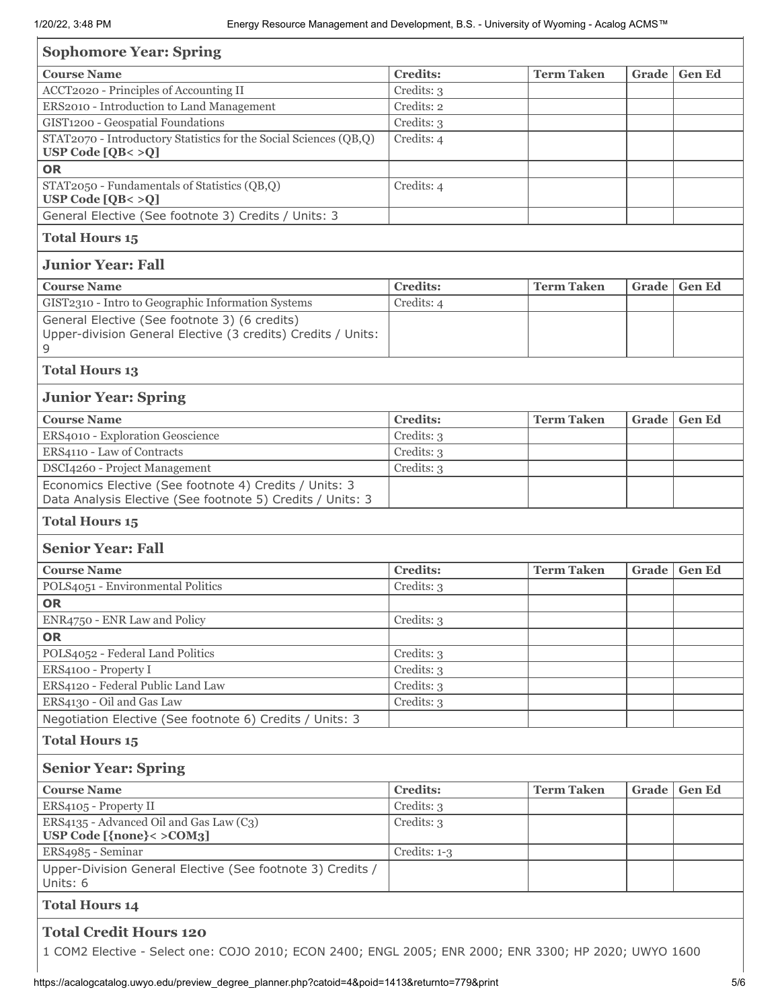| <b>Sophomore Year: Spring</b>                                                                                      |                 |                   |       |               |
|--------------------------------------------------------------------------------------------------------------------|-----------------|-------------------|-------|---------------|
| <b>Course Name</b>                                                                                                 | <b>Credits:</b> | <b>Term Taken</b> | Grade | <b>Gen Ed</b> |
| ACCT2020 - Principles of Accounting II                                                                             | Credits: 3      |                   |       |               |
| ERS2010 - Introduction to Land Management                                                                          | Credits: 2      |                   |       |               |
| GIST1200 - Geospatial Foundations                                                                                  | Credits: 3      |                   |       |               |
| STAT2070 - Introductory Statistics for the Social Sciences (QB,Q)                                                  | Credits: 4      |                   |       |               |
| USP Code $[QB < >Q]$                                                                                               |                 |                   |       |               |
| <b>OR</b>                                                                                                          |                 |                   |       |               |
| STAT2050 - Fundamentals of Statistics (QB,Q)<br>USP Code $[QB < >Q]$                                               | Credits: 4      |                   |       |               |
| General Elective (See footnote 3) Credits / Units: 3                                                               |                 |                   |       |               |
| <b>Total Hours 15</b>                                                                                              |                 |                   |       |               |
| <b>Junior Year: Fall</b>                                                                                           |                 |                   |       |               |
| <b>Course Name</b>                                                                                                 | <b>Credits:</b> | <b>Term Taken</b> | Grade | <b>Gen Ed</b> |
| GIST2310 - Intro to Geographic Information Systems                                                                 | Credits: 4      |                   |       |               |
| General Elective (See footnote 3) (6 credits)<br>Upper-division General Elective (3 credits) Credits / Units:<br>9 |                 |                   |       |               |
| <b>Total Hours 13</b>                                                                                              |                 |                   |       |               |
| <b>Junior Year: Spring</b>                                                                                         |                 |                   |       |               |
| <b>Course Name</b>                                                                                                 | <b>Credits:</b> | <b>Term Taken</b> | Grade | <b>Gen Ed</b> |
| ERS4010 - Exploration Geoscience                                                                                   | Credits: 3      |                   |       |               |
| ERS4110 - Law of Contracts                                                                                         | Credits: 3      |                   |       |               |
| DSCI4260 - Project Management                                                                                      | Credits: 3      |                   |       |               |
| Economics Elective (See footnote 4) Credits / Units: 3                                                             |                 |                   |       |               |
| Data Analysis Elective (See footnote 5) Credits / Units: 3                                                         |                 |                   |       |               |
| <b>Total Hours 15</b>                                                                                              |                 |                   |       |               |
| <b>Senior Year: Fall</b>                                                                                           |                 |                   |       |               |
| <b>Course Name</b>                                                                                                 | <b>Credits:</b> | <b>Term Taken</b> | Grade | <b>Gen Ed</b> |
| POLS4051 - Environmental Politics                                                                                  | Credits: 3      |                   |       |               |
| <b>OR</b>                                                                                                          |                 |                   |       |               |
| ENR4750 - ENR Law and Policy                                                                                       | Credits: 3      |                   |       |               |
| <b>OR</b>                                                                                                          |                 |                   |       |               |
| POLS4052 - Federal Land Politics                                                                                   | Credits: 3      |                   |       |               |
| ERS4100 - Property I                                                                                               | Credits: 3      |                   |       |               |
| ERS4120 - Federal Public Land Law                                                                                  | Credits: 3      |                   |       |               |
| ERS4130 - Oil and Gas Law                                                                                          | $C$ redits: $3$ |                   |       |               |
| Negotiation Elective (See footnote 6) Credits / Units: 3                                                           |                 |                   |       |               |
| <b>Total Hours 15</b>                                                                                              |                 |                   |       |               |
| <b>Senior Year: Spring</b>                                                                                         |                 |                   |       |               |
| <b>Course Name</b>                                                                                                 | <b>Credits:</b> | <b>Term Taken</b> | Grade | <b>Gen Ed</b> |
| ERS4105 - Property II                                                                                              | Credits: 3      |                   |       |               |
| ERS4135 - Advanced Oil and Gas Law (C3)<br>USP Code [{none}< > COM3]                                               | Credits: 3      |                   |       |               |
| ERS4985 - Seminar                                                                                                  | Credits: 1-3    |                   |       |               |
| Upper-Division General Elective (See footnote 3) Credits /<br>Units: 6                                             |                 |                   |       |               |
| <b>Total Hours 14</b>                                                                                              |                 |                   |       |               |
| <b>Total Credit Hours 120</b>                                                                                      |                 |                   |       |               |
| 1 COM2 Elective - Select one: COJO 2010; ECON 2400; ENGL 2005; ENR 2000; ENR 3300; HP 2020; UWYO 1600              |                 |                   |       |               |

https://acalogcatalog.uwyo.edu/preview\_degree\_planner.php?catoid=4&poid=1413&returnto=779&print 5/6